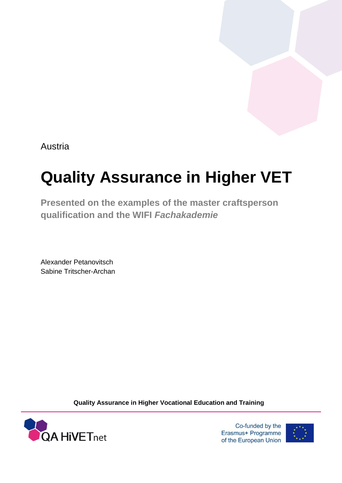Austria

# **Quality Assurance in Higher VET**

**Presented on the examples of the master craftsperson qualification and the WIFI** *Fachakademie*

Alexander Petanovitsch Sabine Tritscher-Archan

**Quality Assurance in Higher Vocational Education and Training**



Co-funded by the Erasmus+ Programme of the European Union

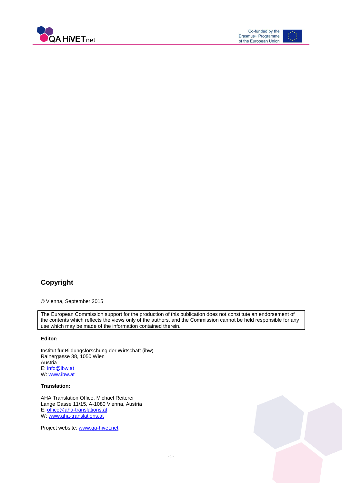



### **Copyright**

© Vienna, September 2015

The European Commission support for the production of this publication does not constitute an endorsement of the contents which reflects the views only of the authors, and the Commission cannot be held responsible for any use which may be made of the information contained therein.

#### **Editor:**

Institut für Bildungsforschung der Wirtschaft (ibw) Rainergasse 38, 1050 Wien **Austria** E: [info@ibw.at](mailto:info@ibw.at) W[: www.ibw.at](http://www.ibw.at/)

#### **Translation:**

AHA Translation Office, Michael Reiterer Lange Gasse 11/15, A-1080 Vienna, Austria E: [office@aha-translations.at](mailto:office@aha-translations.at) W[: www.aha-translations.at](http://www.aha-translations.at/)

Project website: [www.qa-hivet.net](http://www.qa-hivet.net/)

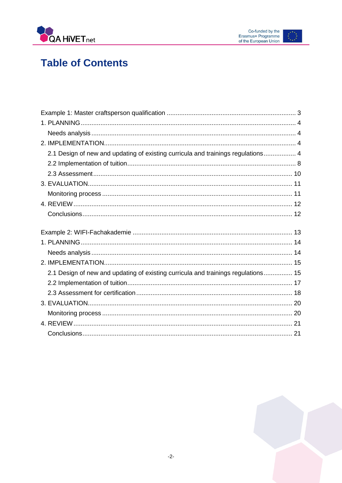

### **Table of Contents**

| 2.1 Design of new and updating of existing curricula and trainings regulations 4  |  |
|-----------------------------------------------------------------------------------|--|
|                                                                                   |  |
|                                                                                   |  |
|                                                                                   |  |
|                                                                                   |  |
|                                                                                   |  |
|                                                                                   |  |
|                                                                                   |  |
|                                                                                   |  |
|                                                                                   |  |
|                                                                                   |  |
|                                                                                   |  |
| 2.1 Design of new and updating of existing curricula and trainings regulations 15 |  |
|                                                                                   |  |
|                                                                                   |  |
|                                                                                   |  |
|                                                                                   |  |
|                                                                                   |  |

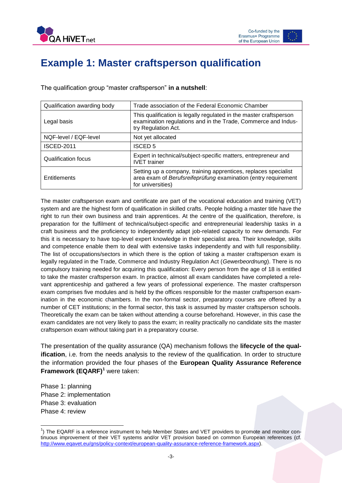

### <span id="page-3-0"></span>**Example 1: Master craftsperson qualification**

The qualification group "master craftsperson" **in a nutshell**:

| Qualification awarding body | Trade association of the Federal Economic Chamber                                                                                                          |
|-----------------------------|------------------------------------------------------------------------------------------------------------------------------------------------------------|
| Legal basis                 | This qualification is legally regulated in the master craftsperson<br>examination regulations and in the Trade, Commerce and Indus-<br>try Regulation Act. |
| NQF-level / EQF-level       | Not yet allocated                                                                                                                                          |
| <b>ISCED-2011</b>           | <b>ISCED 5</b>                                                                                                                                             |
| Qualification focus         | Expert in technical/subject-specific matters, entrepreneur and<br><b>IVET</b> trainer                                                                      |
| Entitlements                | Setting up a company, training apprentices, replaces specialist<br>area exam of Berufsreifeprüfung examination (entry requirement<br>for universities)     |

The master craftsperson exam and certificate are part of the vocational education and training (VET) system and are the highest form of qualification in skilled crafts. People holding a master title have the right to run their own business and train apprentices. At the centre of the qualification, therefore, is preparation for the fulfilment of technical/subject-specific and entrepreneurial leadership tasks in a craft business and the proficiency to independently adapt job-related capacity to new demands. For this it is necessary to have top-level expert knowledge in their specialist area. Their knowledge, skills and competence enable them to deal with extensive tasks independently and with full responsibility. The list of occupations/sectors in which there is the option of taking a master craftsperson exam is legally regulated in the Trade, Commerce and Industry Regulation Act (*Gewerbeordnung*). There is no compulsory training needed for acquiring this qualification: Every person from the age of 18 is entitled to take the master craftsperson exam. In practice, almost all exam candidates have completed a relevant apprenticeship and gathered a few years of professional experience. The master craftsperson exam comprises five modules and is held by the offices responsible for the master craftsperson examination in the economic chambers. In the non-formal sector, preparatory courses are offered by a number of CET institutions; in the formal sector, this task is assumed by master craftsperson schools. Theoretically the exam can be taken without attending a course beforehand. However, in this case the exam candidates are not very likely to pass the exam; in reality practically no candidate sits the master craftsperson exam without taking part in a preparatory course.

The presentation of the quality assurance (QA) mechanism follows the **lifecycle of the qualification**, i.e. from the needs analysis to the review of the qualification. In order to structure the information provided the four phases of the **European Quality Assurance Reference Framework (EQARF)<sup>1</sup>** were taken:

Phase 1: planning Phase 2: implementation Phase 3: evaluation Phase 4: review

 1 ) The EQARF is a reference instrument to help Member States and VET providers to promote and monitor continuous improvement of their VET systems and/or VET provision based on common European references (cf. [http://www.eqavet.eu/gns/policy-context/european-quality-assurance-reference-framework.aspx\)](http://www.eqavet.eu/gns/policy-context/european-quality-assurance-reference-framework.aspx).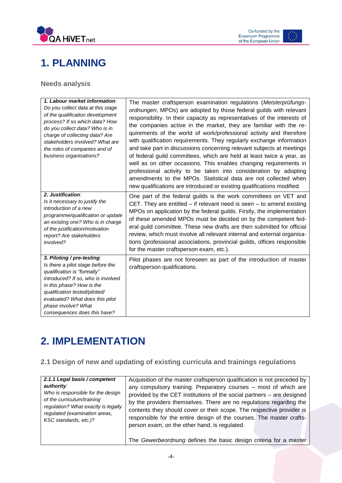



### <span id="page-4-0"></span>**1. PLANNING**

#### <span id="page-4-1"></span>**Needs analysis**

| 1. Labour market information:<br>Do you collect data at this stage<br>of the qualification development<br>process? If so which data? How<br>do you collect data? Who is in<br>charge of collecting data? Are<br>stakeholders involved? What are<br>the roles of companies and of<br>business organisations? | The master craftsperson examination regulations (Meisterprüfungs-<br>ordnungen, MPOs) are adopted by those federal guilds with relevant<br>responsibility. In their capacity as representatives of the interests of<br>the companies active in the market, they are familiar with the re-<br>quirements of the world of work/professional activity and therefore<br>with qualification requirements. They regularly exchange information<br>and take part in discussions concerning relevant subjects at meetings<br>of federal guild committees, which are held at least twice a year, as<br>well as on other occasions. This enables changing requirements in<br>professional activity to be taken into consideration by adopting<br>amendments to the MPOs. Statistical data are not collected when<br>new qualifications are introduced or existing qualifications modified. |
|-------------------------------------------------------------------------------------------------------------------------------------------------------------------------------------------------------------------------------------------------------------------------------------------------------------|----------------------------------------------------------------------------------------------------------------------------------------------------------------------------------------------------------------------------------------------------------------------------------------------------------------------------------------------------------------------------------------------------------------------------------------------------------------------------------------------------------------------------------------------------------------------------------------------------------------------------------------------------------------------------------------------------------------------------------------------------------------------------------------------------------------------------------------------------------------------------------|
| 2. Justification:<br>Is it necessary to justify the<br>introduction of a new<br>programme/qualification or update<br>an existing one? Who is in charge<br>of the justification/motivation<br>report? Are stakeholders<br>involved?                                                                          | One part of the federal guilds is the work committees on VET and<br>CET. They are entitled $-$ if relevant need is seen $-$ to amend existing<br>MPOs on application by the federal guilds. Firstly, the implementation<br>of these amended MPOs must be decided on by the competent fed-<br>eral guild committee. These new drafts are then submitted for official<br>review, which must involve all relevant internal and external organisa-<br>tions (professional associations, provincial guilds, offices responsible<br>for the master craftsperson exam, etc.).                                                                                                                                                                                                                                                                                                           |
| 3. Piloting / pre-testing:<br>Is there a pilot stage before the<br>qualification is "formally"<br>introduced? If so, who is involved<br>in this phase? How is the<br>qualification tested/piloted/<br>evaluated? What does this pilot<br>phase involve? What<br>consequences does this have?                | Pilot phases are not foreseen as part of the introduction of master<br>craftsperson qualifications.                                                                                                                                                                                                                                                                                                                                                                                                                                                                                                                                                                                                                                                                                                                                                                              |

# <span id="page-4-2"></span>**2. IMPLEMENTATION**

#### <span id="page-4-3"></span>**2.1 Design of new and updating of existing curricula and trainings regulations**

| 2.1.1 Legal basis / competent                                   | Acquisition of the master craftsperson qualification is not preceded by |
|-----------------------------------------------------------------|-------------------------------------------------------------------------|
| authority:                                                      | any compulsory training. Preparatory courses - most of which are        |
| Who is responsible for the design<br>of the curriculum/training | provided by the CET institutions of the social partners – are designed  |
| regulation? What exactly is legally                             | by the providers themselves. There are no regulations regarding the     |
| regulated (examination areas,                                   | contents they should cover or their scope. The respective provider is   |
| KSC standards, etc.)?                                           | responsible for the entire design of the courses. The master crafts-    |
|                                                                 | person exam, on the other hand, is regulated.                           |
|                                                                 | The Gewerbeordnung defines the basic design criteria for a master       |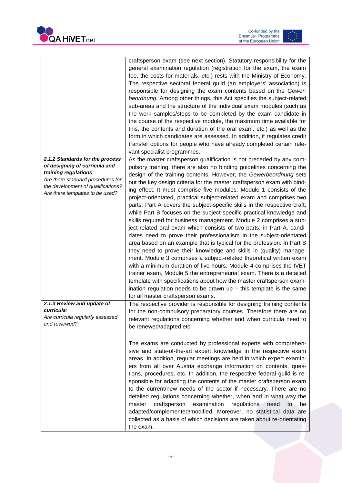



|                                                                                                                                                                                                         | craftsperson exam (see next section). Statutory responsibility for the<br>general examination regulation (registration for the exam, the exam<br>fee, the costs for materials, etc.) rests with the Ministry of Economy.<br>The respective sectoral federal guild (an employers' association) is<br>responsible for designing the exam contents based on the Gewer-<br>beordnung. Among other things, this Act specifies the subject-related<br>sub-areas and the structure of the individual exam modules (such as<br>the work samples/steps to be completed by the exam candidate in<br>the course of the respective module, the maximum time available for<br>this, the contents and duration of the oral exam, etc.) as well as the<br>form in which candidates are assessed. In addition, it regulates credit<br>transfer options for people who have already completed certain rele-<br>vant specialist programmes.                                                                                                                                                                                                                                                                                                                                                                                                                                                           |
|---------------------------------------------------------------------------------------------------------------------------------------------------------------------------------------------------------|-------------------------------------------------------------------------------------------------------------------------------------------------------------------------------------------------------------------------------------------------------------------------------------------------------------------------------------------------------------------------------------------------------------------------------------------------------------------------------------------------------------------------------------------------------------------------------------------------------------------------------------------------------------------------------------------------------------------------------------------------------------------------------------------------------------------------------------------------------------------------------------------------------------------------------------------------------------------------------------------------------------------------------------------------------------------------------------------------------------------------------------------------------------------------------------------------------------------------------------------------------------------------------------------------------------------------------------------------------------------------------------|
| 2.1.2 Standards for the process<br>of designing of curricula and<br>training regulations:<br>Are there standard procedures for<br>the development of qualifications?<br>Are there templates to be used? | As the master craftsperson qualification is not preceded by any com-<br>pulsory training, there are also no binding guidelines concerning the<br>design of the training contents. However, the Gewerbeordnung sets<br>out the key design criteria for the master craftsperson exam with bind-<br>ing effect. It must comprise five modules: Module 1 consists of the<br>project-orientated, practical subject-related exam and comprises two<br>parts: Part A covers the subject-specific skills in the respective craft,<br>while Part B focuses on the subject-specific practical knowledge and<br>skills required for business management. Module 2 comprises a sub-<br>ject-related oral exam which consists of two parts: in Part A, candi-<br>dates need to prove their professionalism in the subject-orientated<br>area based on an example that is typical for the profession. In Part B<br>they need to prove their knowledge and skills in (quality) manage-<br>ment. Module 3 comprises a subject-related theoretical written exam<br>with a minimum duration of five hours; Module 4 comprises the IVET<br>trainer exam, Module 5 the entrepreneurial exam. There is a detailed<br>template with specifications about how the master craftsperson exam-<br>ination regulation needs to be drawn $up$ – this template is the same<br>for all master craftsperson exams. |
| 2.1.3 Review and update of                                                                                                                                                                              | The respective provider is responsible for designing training contents                                                                                                                                                                                                                                                                                                                                                                                                                                                                                                                                                                                                                                                                                                                                                                                                                                                                                                                                                                                                                                                                                                                                                                                                                                                                                                              |
| curricula:<br>Are curricula regularly assessed<br>and reviewed?                                                                                                                                         | for the non-compulsory preparatory courses. Therefore there are no<br>relevant regulations concerning whether and when curricula need to<br>be renewed/adapted etc.<br>The exams are conducted by professional experts with comprehen-<br>sive and state-of-the-art expert knowledge in the respective exam                                                                                                                                                                                                                                                                                                                                                                                                                                                                                                                                                                                                                                                                                                                                                                                                                                                                                                                                                                                                                                                                         |
|                                                                                                                                                                                                         | areas. In addition, regular meetings are held in which expert examin-<br>ers from all over Austria exchange information on contents, ques-<br>tions, procedures, etc. In addition, the respective federal guild is re-<br>sponsible for adapting the contents of the master craftsperson exam<br>to the current/new needs of the sector if necessary. There are no<br>detailed regulations concerning whether, when and in what way the<br>craftsperson<br>examination<br>regulations<br>master<br>need<br>be<br>to<br>adapted/complemented/modified. Moreover, no statistical data are<br>collected as a basis of which decisions are taken about re-orientating<br>the exam.                                                                                                                                                                                                                                                                                                                                                                                                                                                                                                                                                                                                                                                                                                      |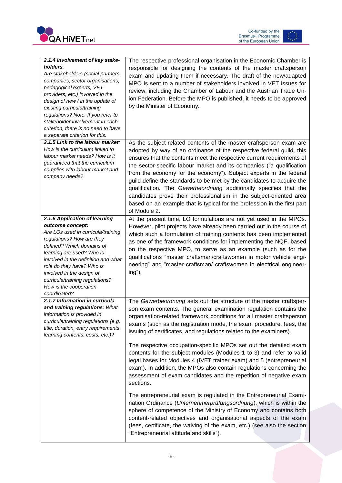

Co-funded by the<br>Erasmus+ Programme<br>of the European Union  $\frac{1}{\frac{1}{2}}$ 

| 2.1.4 Involvement of key stake-<br>holders:<br>Are stakeholders (social partners,<br>companies, sector organisations,<br>pedagogical experts, VET<br>providers, etc.) involved in the<br>design of new / in the update of<br>existing curricula/training<br>regulations? Note: If you refer to<br>stakeholder involvement in each<br>criterion, there is no need to have<br>a separate criterion for this. | The respective professional organisation in the Economic Chamber is<br>responsible for designing the contents of the master craftsperson<br>exam and updating them if necessary. The draft of the new/adapted<br>MPO is sent to a number of stakeholders involved in VET issues for<br>review, including the Chamber of Labour and the Austrian Trade Un-<br>ion Federation. Before the MPO is published, it needs to be approved<br>by the Minister of Economy.                                                                                                                                                                                                                                                                               |
|------------------------------------------------------------------------------------------------------------------------------------------------------------------------------------------------------------------------------------------------------------------------------------------------------------------------------------------------------------------------------------------------------------|------------------------------------------------------------------------------------------------------------------------------------------------------------------------------------------------------------------------------------------------------------------------------------------------------------------------------------------------------------------------------------------------------------------------------------------------------------------------------------------------------------------------------------------------------------------------------------------------------------------------------------------------------------------------------------------------------------------------------------------------|
| 2.1.5 Link to the labour market:<br>How is the curriculum linked to<br>labour market needs? How is it<br>guaranteed that the curriculum<br>complies with labour market and<br>company needs?                                                                                                                                                                                                               | As the subject-related contents of the master craftsperson exam are<br>adopted by way of an ordinance of the respective federal guild, this<br>ensures that the contents meet the respective current requirements of<br>the sector-specific labour market and its companies ("a qualification<br>from the economy for the economy"). Subject experts in the federal<br>guild define the standards to be met by the candidates to acquire the<br>qualification. The Gewerbeordnung additionally specifies that the<br>candidates prove their professionalism in the subject-oriented area<br>based on an example that is typical for the profession in the first part<br>of Module 2.                                                           |
| 2.1.6 Application of learning<br>outcome concept:<br>Are LOs used in curricula/training<br>regulations? How are they<br>defined? Which domains of<br>learning are used? Who is<br>involved in the definition and what<br>role do they have? Who is<br>involved in the design of<br>curricula/training regulations?<br>How is the cooperation<br>coordinated?                                               | At the present time, LO formulations are not yet used in the MPOs.<br>However, pilot projects have already been carried out in the course of<br>which such a formulation of training contents has been implemented<br>as one of the framework conditions for implementing the NQF, based<br>on the respective MPO, to serve as an example (such as for the<br>qualifications "master craftsman/craftswomen in motor vehicle engi-<br>neering" and "master craftsman/ craftswomen in electrical engineer-<br>ing").                                                                                                                                                                                                                             |
| 2.1.7 Information in curricula<br>and training regulations: What<br>information is provided in<br>curricula/training regulations (e.g.<br>title, duration, entry requirements,<br>learning contents, costs, etc.)?                                                                                                                                                                                         | The Gewerbeordnung sets out the structure of the master craftsper-<br>son exam contents. The general examination regulation contains the<br>organisation-related framework conditions for all master craftsperson<br>exams (such as the registration mode, the exam procedure, fees, the<br>issuing of certificates, and regulations related to the examiners).<br>The respective occupation-specific MPOs set out the detailed exam<br>contents for the subject modules (Modules 1 to 3) and refer to valid<br>legal bases for Modules 4 (IVET trainer exam) and 5 (entrepreneurial<br>exam). In addition, the MPOs also contain regulations concerning the<br>assessment of exam candidates and the repetition of negative exam<br>sections. |
|                                                                                                                                                                                                                                                                                                                                                                                                            | The entrepreneurial exam is regulated in the Entrepreneurial Exami-<br>nation Ordinance (Unternehmerprüfungsordnung), which is within the<br>sphere of competence of the Ministry of Economy and contains both<br>content-related objectives and organisational aspects of the exam<br>(fees, certificate, the waiving of the exam, etc.) (see also the section<br>"Entrepreneurial attitude and skills").                                                                                                                                                                                                                                                                                                                                     |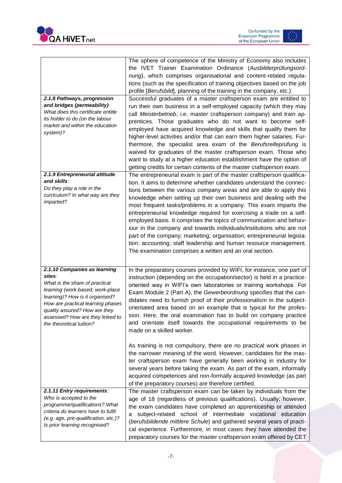



| 2.1.8 Pathways, progression<br>and bridges (permeability):<br>What does this certificate entitle<br>its holder to do (on the labour<br>market and within the education<br>system)?                                                                                                    | The sphere of competence of the Ministry of Economy also includes<br>the IVET Trainer Examination Ordinance (Ausbilderprüfungsord-<br>nung), which comprises organisational and content-related regula-<br>tions (such as the specification of training objectives based on the job<br>profile [Berufsbild], planning of the training in the company, etc.).<br>Successful graduates of a master craftsperson exam are entitled to<br>run their own business in a self-employed capacity (which they may<br>call Meisterbetrieb, i.e. master craftsperson company) and train ap-<br>prentices. Those graduates who do not want to become self-<br>employed have acquired knowledge and skills that qualify them for<br>higher-level activities and/or that can earn them higher salaries. Fur-<br>thermore, the specialist area exam of the Berufsreifeprüfung is<br>waived for graduates of the master craftsperson exam. Those who<br>want to study at a higher education establishment have the option of |
|---------------------------------------------------------------------------------------------------------------------------------------------------------------------------------------------------------------------------------------------------------------------------------------|--------------------------------------------------------------------------------------------------------------------------------------------------------------------------------------------------------------------------------------------------------------------------------------------------------------------------------------------------------------------------------------------------------------------------------------------------------------------------------------------------------------------------------------------------------------------------------------------------------------------------------------------------------------------------------------------------------------------------------------------------------------------------------------------------------------------------------------------------------------------------------------------------------------------------------------------------------------------------------------------------------------|
| 2.1.9 Entrepreneurial attitude                                                                                                                                                                                                                                                        | getting credits for certain contents of the master craftsperson exam.<br>The entrepreneurial exam is part of the master craftsperson qualifica-                                                                                                                                                                                                                                                                                                                                                                                                                                                                                                                                                                                                                                                                                                                                                                                                                                                              |
| and skills:<br>Do they play a role in the<br>curriculum? In what way are they<br>imparted?                                                                                                                                                                                            | tion. It aims to determine whether candidates understand the connec-<br>tions between the various company areas and are able to apply this<br>knowledge when setting up their own business and dealing with the<br>most frequent tasks/problems in a company. This exam imparts the<br>entrepreneurial knowledge required for exercising a trade on a self-<br>employed basis. It comprises the topics of communication and behav-<br>iour in the company and towards individuals/institutions who are not<br>part of the company; marketing; organisation; entrepreneurial legisla-<br>tion; accounting; staff leadership and human resource management.<br>The examination comprises a written and an oral section.                                                                                                                                                                                                                                                                                        |
| 2.1.10 Companies as learning<br>sites:<br>What is the share of practical<br>learning (work-based, work-place<br>learning)? How is it organised?<br>How are practical learning phases<br>quality assured? How are they<br>assessed? How are they linked to<br>the theoretical tuition? | In the preparatory courses provided by WIFI, for instance, one part of<br>instruction (depending on the occupation/sector) is held in a practice-<br>oriented way in WIFI's own laboratories or training workshops. For<br>Exam Module 2 (Part A), the Gewerbeordnung specifies that the can-<br>didates need to furnish proof of their professionalism in the subject-<br>orientated area based on an example that is typical for the profes-<br>sion. Here, the oral examination has to build on company practice<br>and orientate itself towards the occupational requirements to be<br>made on a skilled worker.<br>As training is not compulsory, there are no practical work phases in<br>the narrower meaning of the word. However, candidates for the mas-                                                                                                                                                                                                                                           |
|                                                                                                                                                                                                                                                                                       | ter craftsperson exam have generally been working in industry for<br>several years before taking the exam. As part of the exam, informally<br>acquired competences and non-formally acquired knowledge (as part<br>of the preparatory courses) are therefore certified.                                                                                                                                                                                                                                                                                                                                                                                                                                                                                                                                                                                                                                                                                                                                      |
| 2.1.11 Entry requirements:<br>Who is accepted to the<br>programme/qualifications? What<br>criteria do learners have to fulfil<br>(e.g. age, pre-qualification, etc.)?<br>Is prior learning recognised?                                                                                | The master craftsperson exam can be taken by individuals from the<br>age of 18 (regardless of previous qualifications). Usually, however,<br>the exam candidates have completed an apprenticeship or attended<br>subject-related school of intermediate vocational education<br>a<br>(berufsbildende mittlere Schule) and gathered several years of practi-<br>cal experience. Furthermore, in most cases they have attended the<br>preparatory courses for the master craftsperson exam offered by CET                                                                                                                                                                                                                                                                                                                                                                                                                                                                                                      |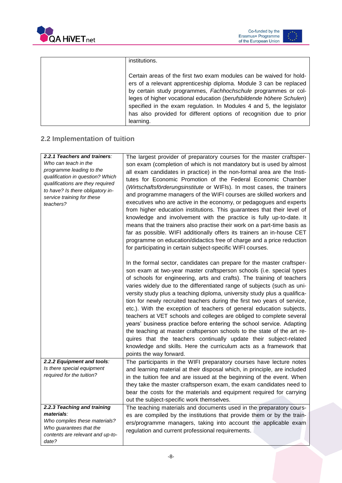



| institutions.                                                        |
|----------------------------------------------------------------------|
|                                                                      |
| Certain areas of the first two exam modules can be waived for hold-  |
| ers of a relevant apprenticeship diploma. Module 3 can be replaced   |
| by certain study programmes, Fachhochschule programmes or col-       |
| leges of higher vocational education (berufsbildende höhere Schulen) |
| specified in the exam regulation. In Modules 4 and 5, the legislator |
| has also provided for different options of recognition due to prior  |
| learning.                                                            |

### <span id="page-8-0"></span>**2.2 Implementation of tuition**

| <b>2.2.1 Teachers and trainers:</b>                                  | The largest provider of preparatory courses for the master craftsper-                                                                                                                                                                                                                                                                                                                                                                                                                                                                                                                                                                                                                                                                                                                                                                                                                                                                  |
|----------------------------------------------------------------------|----------------------------------------------------------------------------------------------------------------------------------------------------------------------------------------------------------------------------------------------------------------------------------------------------------------------------------------------------------------------------------------------------------------------------------------------------------------------------------------------------------------------------------------------------------------------------------------------------------------------------------------------------------------------------------------------------------------------------------------------------------------------------------------------------------------------------------------------------------------------------------------------------------------------------------------|
| Who can teach in the                                                 | son exam (completion of which is not mandatory but is used by almost                                                                                                                                                                                                                                                                                                                                                                                                                                                                                                                                                                                                                                                                                                                                                                                                                                                                   |
| programme leading to the                                             | all exam candidates in practice) in the non-formal area are the Insti-                                                                                                                                                                                                                                                                                                                                                                                                                                                                                                                                                                                                                                                                                                                                                                                                                                                                 |
| qualification in question? Which<br>qualifications are they required | tutes for Economic Promotion of the Federal Economic Chamber                                                                                                                                                                                                                                                                                                                                                                                                                                                                                                                                                                                                                                                                                                                                                                                                                                                                           |
| to have? Is there obligatory in-                                     | (Wirtschaftsförderungsinstitute or WIFIs). In most cases, the trainers                                                                                                                                                                                                                                                                                                                                                                                                                                                                                                                                                                                                                                                                                                                                                                                                                                                                 |
| service training for these                                           | and programme managers of the WIFI courses are skilled workers and                                                                                                                                                                                                                                                                                                                                                                                                                                                                                                                                                                                                                                                                                                                                                                                                                                                                     |
| teachers?                                                            | executives who are active in the economy, or pedagogues and experts<br>from higher education institutions. This guarantees that their level of<br>knowledge and involvement with the practice is fully up-to-date. It<br>means that the trainers also practise their work on a part-time basis as<br>far as possible. WIFI additionally offers its trainers an in-house CET<br>programme on education/didactics free of charge and a price reduction<br>for participating in certain subject-specific WIFI courses.                                                                                                                                                                                                                                                                                                                                                                                                                    |
|                                                                      | In the formal sector, candidates can prepare for the master craftsper-<br>son exam at two-year master craftsperson schools (i.e. special types<br>of schools for engineering, arts and crafts). The training of teachers<br>varies widely due to the differentiated range of subjects (such as uni-<br>versity study plus a teaching diploma, university study plus a qualifica-<br>tion for newly recruited teachers during the first two years of service,<br>etc.). With the exception of teachers of general education subjects,<br>teachers at VET schools and colleges are obliged to complete several<br>years' business practice before entering the school service. Adapting<br>the teaching at master craftsperson schools to the state of the art re-<br>quires that the teachers continually update their subject-related<br>knowledge and skills. Here the curriculum acts as a framework that<br>points the way forward. |
| 2.2.2 Equipment and tools:                                           | The participants in the WIFI preparatory courses have lecture notes                                                                                                                                                                                                                                                                                                                                                                                                                                                                                                                                                                                                                                                                                                                                                                                                                                                                    |
| Is there special equipment                                           | and learning material at their disposal which, in principle, are included                                                                                                                                                                                                                                                                                                                                                                                                                                                                                                                                                                                                                                                                                                                                                                                                                                                              |
| required for the tuition?                                            | in the tuition fee and are issued at the beginning of the event. When                                                                                                                                                                                                                                                                                                                                                                                                                                                                                                                                                                                                                                                                                                                                                                                                                                                                  |
|                                                                      | they take the master craftsperson exam, the exam candidates need to                                                                                                                                                                                                                                                                                                                                                                                                                                                                                                                                                                                                                                                                                                                                                                                                                                                                    |
|                                                                      | bear the costs for the materials and equipment required for carrying                                                                                                                                                                                                                                                                                                                                                                                                                                                                                                                                                                                                                                                                                                                                                                                                                                                                   |
|                                                                      | out the subject-specific work themselves.                                                                                                                                                                                                                                                                                                                                                                                                                                                                                                                                                                                                                                                                                                                                                                                                                                                                                              |
| 2.2.3 Teaching and training                                          | The teaching materials and documents used in the preparatory cours-                                                                                                                                                                                                                                                                                                                                                                                                                                                                                                                                                                                                                                                                                                                                                                                                                                                                    |
| materials:                                                           | es are compiled by the institutions that provide them or by the train-                                                                                                                                                                                                                                                                                                                                                                                                                                                                                                                                                                                                                                                                                                                                                                                                                                                                 |
| Who compiles these materials?                                        | ers/programme managers, taking into account the applicable exam                                                                                                                                                                                                                                                                                                                                                                                                                                                                                                                                                                                                                                                                                                                                                                                                                                                                        |
| Who guarantees that the<br>contents are relevant and up-to-          | regulation and current professional requirements.                                                                                                                                                                                                                                                                                                                                                                                                                                                                                                                                                                                                                                                                                                                                                                                                                                                                                      |
| date?                                                                |                                                                                                                                                                                                                                                                                                                                                                                                                                                                                                                                                                                                                                                                                                                                                                                                                                                                                                                                        |
|                                                                      |                                                                                                                                                                                                                                                                                                                                                                                                                                                                                                                                                                                                                                                                                                                                                                                                                                                                                                                                        |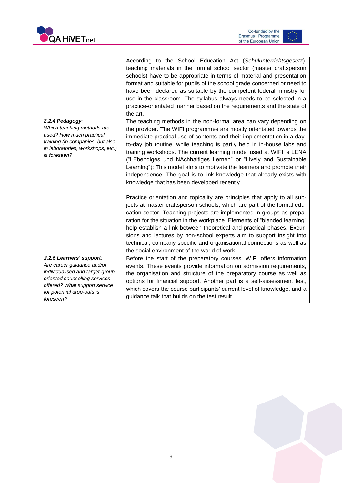



|                                                                                                                                                                                                        | According to the School Education Act (Schulunterrichtsgesetz),<br>teaching materials in the formal school sector (master craftsperson<br>schools) have to be appropriate in terms of material and presentation<br>format and suitable for pupils of the school grade concerned or need to<br>have been declared as suitable by the competent federal ministry for<br>use in the classroom. The syllabus always needs to be selected in a<br>practice-orientated manner based on the requirements and the state of<br>the art.                                                                                                           |
|--------------------------------------------------------------------------------------------------------------------------------------------------------------------------------------------------------|------------------------------------------------------------------------------------------------------------------------------------------------------------------------------------------------------------------------------------------------------------------------------------------------------------------------------------------------------------------------------------------------------------------------------------------------------------------------------------------------------------------------------------------------------------------------------------------------------------------------------------------|
| 2.2.4 Pedagogy:<br>Which teaching methods are<br>used? How much practical<br>training (in companies, but also<br>in laboratories, workshops, etc.)<br>is foreseen?                                     | The teaching methods in the non-formal area can vary depending on<br>the provider. The WIFI programmes are mostly orientated towards the<br>immediate practical use of contents and their implementation in a day-<br>to-day job routine, while teaching is partly held in in-house labs and<br>training workshops. The current learning model used at WIFI is LENA<br>("LEbendiges und NAchhaltiges Lernen" or "Lively and Sustainable<br>Learning"): This model aims to motivate the learners and promote their<br>independence. The goal is to link knowledge that already exists with<br>knowledge that has been developed recently. |
|                                                                                                                                                                                                        | Practice orientation and topicality are principles that apply to all sub-<br>jects at master craftsperson schools, which are part of the formal edu-<br>cation sector. Teaching projects are implemented in groups as prepa-<br>ration for the situation in the workplace. Elements of "blended learning"<br>help establish a link between theoretical and practical phases. Excur-<br>sions and lectures by non-school experts aim to support insight into<br>technical, company-specific and organisational connections as well as<br>the social environment of the world of work.                                                     |
| 2.2.5 Learners' support:<br>Are career guidance and/or<br>individualised and target-group<br>oriented counselling services<br>offered? What support service<br>for potential drop-outs is<br>foreseen? | Before the start of the preparatory courses, WIFI offers information<br>events. These events provide information on admission requirements,<br>the organisation and structure of the preparatory course as well as<br>options for financial support. Another part is a self-assessment test,<br>which covers the course participants' current level of knowledge, and a<br>guidance talk that builds on the test result.                                                                                                                                                                                                                 |

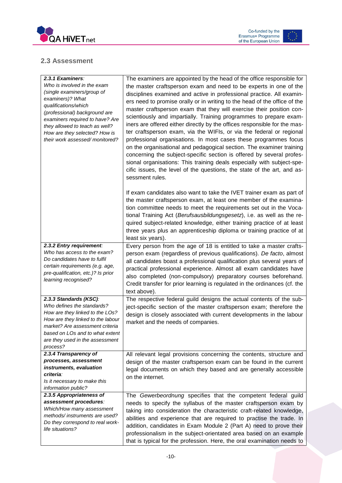

Co-funded by the<br>Erasmus+ Programme<br>of the European Union  $\begin{bmatrix} 1 & 0 \\ 0 & 1 \end{bmatrix}$ 

#### <span id="page-10-0"></span>**2.3 Assessment**

| 2.3.1 Examiners:<br>Who is involved in the exam<br>(single examiners/group of<br>examiners)? What<br>qualifications/which<br>(professional) background are<br>examiners required to have? Are<br>they allowed to teach as well?<br>How are they selected? How is<br>their work assessed/monitored? | The examiners are appointed by the head of the office responsible for<br>the master craftsperson exam and need to be experts in one of the<br>disciplines examined and active in professional practice. All examin-<br>ers need to promise orally or in writing to the head of the office of the<br>master craftsperson exam that they will exercise their position con-<br>scientiously and impartially. Training programmes to prepare exam-<br>iners are offered either directly by the offices responsible for the mas-<br>ter craftsperson exam, via the WIFIs, or via the federal or regional<br>professional organisations. In most cases these programmes focus<br>on the organisational and pedagogical section. The examiner training<br>concerning the subject-specific section is offered by several profes-<br>sional organisations: This training deals especially with subject-spe-<br>cific issues, the level of the questions, the state of the art, and as-<br>sessment rules. |
|----------------------------------------------------------------------------------------------------------------------------------------------------------------------------------------------------------------------------------------------------------------------------------------------------|--------------------------------------------------------------------------------------------------------------------------------------------------------------------------------------------------------------------------------------------------------------------------------------------------------------------------------------------------------------------------------------------------------------------------------------------------------------------------------------------------------------------------------------------------------------------------------------------------------------------------------------------------------------------------------------------------------------------------------------------------------------------------------------------------------------------------------------------------------------------------------------------------------------------------------------------------------------------------------------------------|
|                                                                                                                                                                                                                                                                                                    | If exam candidates also want to take the IVET trainer exam as part of<br>the master craftsperson exam, at least one member of the examina-<br>tion committee needs to meet the requirements set out in the Voca-<br>tional Training Act (Berufsausbildungsgesetz), i.e. as well as the re-<br>quired subject-related knowledge, either training practice of at least<br>three years plus an apprenticeship diploma or training practice of at<br>least six years).                                                                                                                                                                                                                                                                                                                                                                                                                                                                                                                               |
| 2.3.2 Entry requirement:<br>Who has access to the exam?<br>Do candidates have to fulfil<br>certain requirements (e.g. age,<br>pre-qualification, etc.)? Is prior<br>learning recognised?                                                                                                           | Every person from the age of 18 is entitled to take a master crafts-<br>person exam (regardless of previous qualifications). De facto, almost<br>all candidates boast a professional qualification plus several years of<br>practical professional experience. Almost all exam candidates have<br>also completed (non-compulsory) preparatory courses beforehand.<br>Credit transfer for prior learning is regulated in the ordinances (cf. the<br>text above).                                                                                                                                                                                                                                                                                                                                                                                                                                                                                                                                  |
| 2.3.3 Standards (KSC):<br>Who defines the standards?<br>How are they linked to the LOs?<br>How are they linked to the labour<br>market? Are assessment criteria<br>based on LOs and to what extent<br>are they used in the assessment<br>process?                                                  | The respective federal guild designs the actual contents of the sub-<br>ject-specific section of the master craftsperson exam; therefore the<br>design is closely associated with current developments in the labour<br>market and the needs of companies.                                                                                                                                                                                                                                                                                                                                                                                                                                                                                                                                                                                                                                                                                                                                       |
| 2.3.4 Transparency of<br>processes, assessment<br>instruments, evaluation<br>criteria:<br>Is it necessary to make this<br>information public?                                                                                                                                                      | All relevant legal provisions concerning the contents, structure and<br>design of the master craftsperson exam can be found in the current<br>legal documents on which they based and are generally accessible<br>on the internet.                                                                                                                                                                                                                                                                                                                                                                                                                                                                                                                                                                                                                                                                                                                                                               |
| 2.3.5 Appropriateness of<br>assessment procedures:<br>Which/How many assessment<br>methods/instruments are used?<br>Do they correspond to real work-<br>life situations?                                                                                                                           | The Gewerbeordnung specifies that the competent federal guild<br>needs to specify the syllabus of the master craftsperson exam by<br>taking into consideration the characteristic craft-related knowledge,<br>abilities and experience that are required to practise the trade. In<br>addition, candidates in Exam Module 2 (Part A) need to prove their<br>professionalism in the subject-orientated area based on an example<br>that is typical for the profession. Here, the oral examination needs to                                                                                                                                                                                                                                                                                                                                                                                                                                                                                        |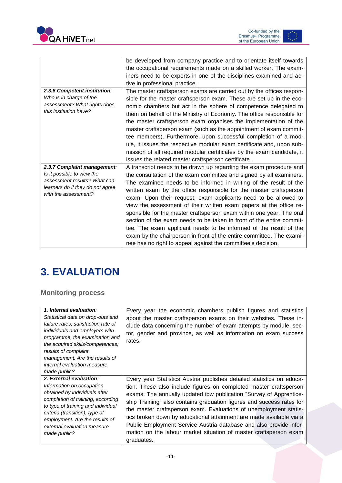



|                                                        | be developed from company practice and to orientate itself towards     |
|--------------------------------------------------------|------------------------------------------------------------------------|
|                                                        | the occupational requirements made on a skilled worker. The exam-      |
|                                                        | iners need to be experts in one of the disciplines examined and ac-    |
|                                                        | tive in professional practice.                                         |
| 2.3.6 Competent institution:                           | The master craftsperson exams are carried out by the offices respon-   |
| Who is in charge of the                                | sible for the master craftsperson exam. These are set up in the eco-   |
| assessment? What rights does<br>this institution have? | nomic chambers but act in the sphere of competence delegated to        |
|                                                        | them on behalf of the Ministry of Economy. The office responsible for  |
|                                                        | the master craftsperson exam organises the implementation of the       |
|                                                        | master craftsperson exam (such as the appointment of exam commit-      |
|                                                        | tee members). Furthermore, upon successful completion of a mod-        |
|                                                        | ule, it issues the respective modular exam certificate and, upon sub-  |
|                                                        | mission of all required modular certificates by the exam candidate, it |
|                                                        | issues the related master craftsperson certificate.                    |
| 2.3.7 Complaint management:                            | A transcript needs to be drawn up regarding the exam procedure and     |
| Is it possible to view the                             | the consultation of the exam committee and signed by all examiners.    |
| assessment results? What can                           | The examinee needs to be informed in writing of the result of the      |
| learners do if they do not agree                       | written exam by the office responsible for the master craftsperson     |
| with the assessment?                                   | exam. Upon their request, exam applicants need to be allowed to        |
|                                                        | view the assessment of their written exam papers at the office re-     |
|                                                        | sponsible for the master craftsperson exam within one year. The oral   |
|                                                        | section of the exam needs to be taken in front of the entire commit-   |
|                                                        | tee. The exam applicant needs to be informed of the result of the      |
|                                                        | exam by the chairperson in front of the entire committee. The exami-   |
|                                                        | nee has no right to appeal against the committee's decision.           |

# <span id="page-11-0"></span>**3. EVALUATION**

#### <span id="page-11-1"></span>**Monitoring process**

| 1. Internal evaluation:<br>Statistical data on drop-outs and<br>failure rates, satisfaction rate of<br>individuals and employers with<br>programme, the examination and<br>the acquired skills/competences;<br>results of complaint<br>management. Are the results of<br><i>internal evaluation measure</i><br>made public? | Every year the economic chambers publish figures and statistics<br>about the master craftsperson exams on their websites. These in-<br>clude data concerning the number of exam attempts by module, sec-<br>tor, gender and province, as well as information on exam success<br>rates. |
|-----------------------------------------------------------------------------------------------------------------------------------------------------------------------------------------------------------------------------------------------------------------------------------------------------------------------------|----------------------------------------------------------------------------------------------------------------------------------------------------------------------------------------------------------------------------------------------------------------------------------------|
| 2. External evaluation:                                                                                                                                                                                                                                                                                                     | Every year Statistics Austria publishes detailed statistics on educa-                                                                                                                                                                                                                  |
| Information on occupation                                                                                                                                                                                                                                                                                                   | tion. These also include figures on completed master craftsperson                                                                                                                                                                                                                      |
| obtained by individuals after                                                                                                                                                                                                                                                                                               | exams. The annually updated ibw publication "Survey of Apprentice-                                                                                                                                                                                                                     |
| completion of training, according                                                                                                                                                                                                                                                                                           | ship Training" also contains graduation figures and success rates for                                                                                                                                                                                                                  |
| to type of training and individual                                                                                                                                                                                                                                                                                          | the master craftsperson exam. Evaluations of unemployment statis-                                                                                                                                                                                                                      |
| criteria (transition), type of                                                                                                                                                                                                                                                                                              | tics broken down by educational attainment are made available via a                                                                                                                                                                                                                    |
| employment. Are the results of                                                                                                                                                                                                                                                                                              | Public Employment Service Austria database and also provide infor-                                                                                                                                                                                                                     |
| external evaluation measure                                                                                                                                                                                                                                                                                                 | mation on the labour market situation of master craftsperson exam                                                                                                                                                                                                                      |
| made public?                                                                                                                                                                                                                                                                                                                | graduates.                                                                                                                                                                                                                                                                             |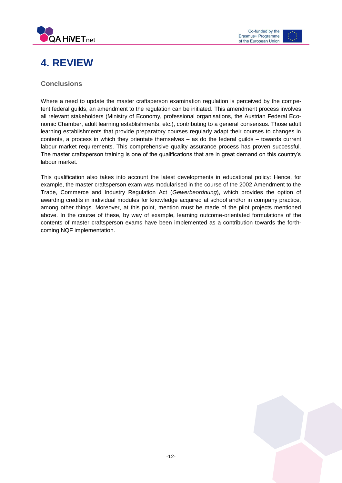



### <span id="page-12-0"></span>**4. REVIEW**

#### <span id="page-12-1"></span>**Conclusions**

Where a need to update the master craftsperson examination regulation is perceived by the competent federal guilds, an amendment to the regulation can be initiated. This amendment process involves all relevant stakeholders (Ministry of Economy, professional organisations, the Austrian Federal Economic Chamber, adult learning establishments, etc.), contributing to a general consensus. Those adult learning establishments that provide preparatory courses regularly adapt their courses to changes in contents, a process in which they orientate themselves – as do the federal guilds – towards current labour market requirements. This comprehensive quality assurance process has proven successful. The master craftsperson training is one of the qualifications that are in great demand on this country's labour market.

This qualification also takes into account the latest developments in educational policy: Hence, for example, the master craftsperson exam was modularised in the course of the 2002 Amendment to the Trade, Commerce and Industry Regulation Act (*Gewerbeordnung*), which provides the option of awarding credits in individual modules for knowledge acquired at school and/or in company practice, among other things. Moreover, at this point, mention must be made of the pilot projects mentioned above. In the course of these, by way of example, learning outcome-orientated formulations of the contents of master craftsperson exams have been implemented as a contribution towards the forthcoming NQF implementation.

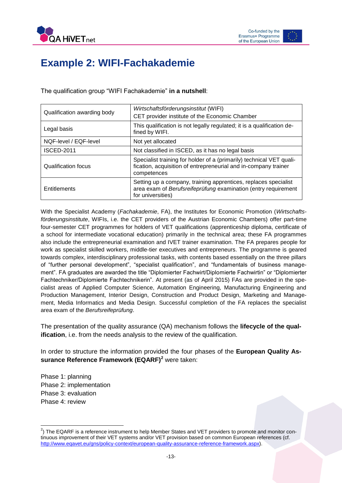

### <span id="page-13-0"></span>**Example 2: WIFI-Fachakademie**

The qualification group "WIFI Fachakademie" **in a nutshell**:

| Qualification awarding body | Wirtschaftsförderungsinstitut (WIFI)<br>CET provider institute of the Economic Chamber                                                                 |
|-----------------------------|--------------------------------------------------------------------------------------------------------------------------------------------------------|
| Legal basis                 | This qualification is not legally regulated; it is a qualification de-<br>fined by WIFI.                                                               |
| NQF-level / EQF-level       | Not yet allocated                                                                                                                                      |
| <b>ISCED-2011</b>           | Not classified in ISCED, as it has no legal basis                                                                                                      |
| Qualification focus         | Specialist training for holder of a (primarily) technical VET quali-<br>fication, acquisition of entrepreneurial and in-company trainer<br>competences |
| Entitlements                | Setting up a company, training apprentices, replaces specialist<br>area exam of Berufsreifeprüfung examination (entry requirement<br>for universities) |

With the Specialist Academy (*Fachakademie*, FA), the Institutes for Economic Promotion (*Wirtschaftsförderungsinstitute*, WIFIs, i.e. the CET providers of the Austrian Economic Chambers) offer part-time four-semester CET programmes for holders of VET qualifications (apprenticeship diploma, certificate of a school for intermediate vocational education) primarily in the technical area; these FA programmes also include the entrepreneurial examination and IVET trainer examination. The FA prepares people for work as specialist skilled workers, middle-tier executives and entrepreneurs. The programme is geared towards complex, interdisciplinary professional tasks, with contents based essentially on the three pillars of "further personal development", "specialist qualification", and "fundamentals of business management". FA graduates are awarded the title "Diplomierter Fachwirt/Diplomierte Fachwirtin" or "Diplomierter Fachtechniker/Diplomierte Fachtechnikerin". At present (as of April 2015) FAs are provided in the specialist areas of Applied Computer Science, Automation Engineering, Manufacturing Engineering and Production Management, Interior Design, Construction and Product Design, Marketing and Management, Media Informatics and Media Design. Successful completion of the FA replaces the specialist area exam of the *Berufsreifeprüfung*.

The presentation of the quality assurance (QA) mechanism follows the **lifecycle of the qualification**, i.e. from the needs analysis to the review of the qualification.

In order to structure the information provided the four phases of the **European Quality Assurance Reference Framework (EQARF)<sup>2</sup>** were taken:

Phase 1: planning Phase 2: implementation Phase 3: evaluation Phase 4: review

 $\overline{\phantom{a}}$ 

 $^{2}$ ) The EQARF is a reference instrument to help Member States and VET providers to promote and monitor continuous improvement of their VET systems and/or VET provision based on common European references (cf. [http://www.eqavet.eu/gns/policy-context/european-quality-assurance-reference-framework.aspx\)](http://www.eqavet.eu/gns/policy-context/european-quality-assurance-reference-framework.aspx).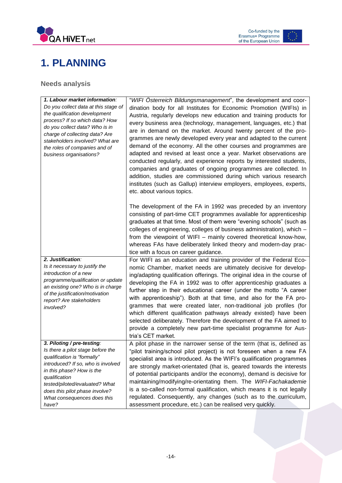



### <span id="page-14-0"></span>**1. PLANNING**

### <span id="page-14-1"></span>**Needs analysis**

| 1. Labour market information:<br>Do you collect data at this stage of<br>the qualification development<br>process? If so which data? How<br>do you collect data? Who is in<br>charge of collecting data? Are<br>stakeholders involved? What are<br>the roles of companies and of<br>business organisations? | "WIFI Osterreich Bildungsmanagement", the development and coor-<br>dination body for all Institutes for Economic Promotion (WIFIs) in<br>Austria, regularly develops new education and training products for<br>every business area (technology, management, languages, etc.) that<br>are in demand on the market. Around twenty percent of the pro-<br>grammes are newly developed every year and adapted to the current<br>demand of the economy. All the other courses and programmes are<br>adapted and revised at least once a year. Market observations are<br>conducted regularly, and experience reports by interested students,<br>companies and graduates of ongoing programmes are collected. In<br>addition, studies are commissioned during which various research<br>institutes (such as Gallup) interview employers, employees, experts,<br>etc. about various topics. |
|-------------------------------------------------------------------------------------------------------------------------------------------------------------------------------------------------------------------------------------------------------------------------------------------------------------|---------------------------------------------------------------------------------------------------------------------------------------------------------------------------------------------------------------------------------------------------------------------------------------------------------------------------------------------------------------------------------------------------------------------------------------------------------------------------------------------------------------------------------------------------------------------------------------------------------------------------------------------------------------------------------------------------------------------------------------------------------------------------------------------------------------------------------------------------------------------------------------|
|                                                                                                                                                                                                                                                                                                             | The development of the FA in 1992 was preceded by an inventory<br>consisting of part-time CET programmes available for apprenticeship<br>graduates at that time. Most of them were "evening schools" (such as<br>colleges of engineering, colleges of business administration), which -<br>from the viewpoint of WIFI - mainly covered theoretical know-how,<br>whereas FAs have deliberately linked theory and modern-day prac-<br>tice with a focus on career guidance.                                                                                                                                                                                                                                                                                                                                                                                                             |
| 2. Justification:<br>Is it necessary to justify the<br>introduction of a new<br>programme/qualification or update<br>an existing one? Who is in charge<br>of the justification/motivation<br>report? Are stakeholders<br>involved?                                                                          | For WIFI as an education and training provider of the Federal Eco-<br>nomic Chamber, market needs are ultimately decisive for develop-<br>ing/adapting qualification offerings. The original idea in the course of<br>developing the FA in 1992 was to offer apprenticeship graduates a<br>further step in their educational career (under the motto "A career<br>with apprenticeship"). Both at that time, and also for the FA pro-<br>grammes that were created later, non-traditional job profiles (for<br>which different qualification pathways already existed) have been<br>selected deliberately. Therefore the development of the FA aimed to<br>provide a completely new part-time specialist programme for Aus-<br>tria's CET market.                                                                                                                                      |
| 3. Piloting / pre-testing:<br>Is there a pilot stage before the<br>qualification is "formally"<br>introduced? If so, who is involved<br>in this phase? How is the<br>qualification<br>tested/piloted/evaluated? What<br>does this pilot phase involve?<br>What consequences does this<br>have?              | A pilot phase in the narrower sense of the term (that is, defined as<br>"pilot training/school pilot project) is not foreseen when a new FA<br>specialist area is introduced. As the WIFI's qualification programmes<br>are strongly market-orientated (that is, geared towards the interests<br>of potential participants and/or the economy), demand is decisive for<br>maintaining/modifying/re-orientating them. The WIFI-Fachakademie<br>is a so-called non-formal qualification, which means it is not legally<br>regulated. Consequently, any changes (such as to the curriculum,<br>assessment procedure, etc.) can be realised very quickly.                                                                                                                                                                                                                                 |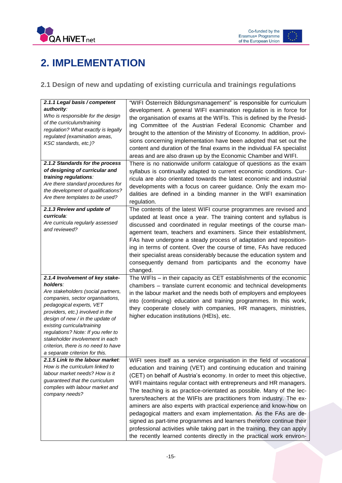



# <span id="page-15-0"></span>**2. IMPLEMENTATION**

#### <span id="page-15-1"></span>**2.1 Design of new and updating of existing curricula and trainings regulations**

| 2.1.1 Legal basis / competent<br>authority:<br>Who is responsible for the design<br>of the curriculum/training<br>regulation? What exactly is legally<br>regulated (examination areas,<br>KSC standards, etc.)?<br>2.1.2 Standards for the process<br>of designing of curricular and<br>training regulations:<br>Are there standard procedures for<br>the development of qualifications?<br>Are there templates to be used? | "WIFI Österreich Bildungsmanagement" is responsible for curriculum<br>development. A general WIFI examination regulation is in force for<br>the organisation of exams at the WIFIs. This is defined by the Presid-<br>ing Committee of the Austrian Federal Economic Chamber and<br>brought to the attention of the Ministry of Economy. In addition, provi-<br>sions concerning implementation have been adopted that set out the<br>content and duration of the final exams in the individual FA specialist<br>areas and are also drawn up by the Economic Chamber and WIFI.<br>There is no nationwide uniform catalogue of questions as the exam<br>syllabus is continually adapted to current economic conditions. Cur-<br>ricula are also orientated towards the latest economic and industrial<br>developments with a focus on career guidance. Only the exam mo-<br>dalities are defined in a binding manner in the WIFI examination<br>regulation. |
|-----------------------------------------------------------------------------------------------------------------------------------------------------------------------------------------------------------------------------------------------------------------------------------------------------------------------------------------------------------------------------------------------------------------------------|------------------------------------------------------------------------------------------------------------------------------------------------------------------------------------------------------------------------------------------------------------------------------------------------------------------------------------------------------------------------------------------------------------------------------------------------------------------------------------------------------------------------------------------------------------------------------------------------------------------------------------------------------------------------------------------------------------------------------------------------------------------------------------------------------------------------------------------------------------------------------------------------------------------------------------------------------------|
| 2.1.3 Review and update of<br>curricula:<br>Are curricula regularly assessed<br>and reviewed?                                                                                                                                                                                                                                                                                                                               | The contents of the latest WIFI course programmes are revised and<br>updated at least once a year. The training content and syllabus is<br>discussed and coordinated in regular meetings of the course man-<br>agement team, teachers and examiners. Since their establishment,<br>FAs have undergone a steady process of adaptation and reposition-<br>ing in terms of content. Over the course of time, FAs have reduced<br>their specialist areas considerably because the education system and<br>consequently demand from participants and the economy have<br>changed.                                                                                                                                                                                                                                                                                                                                                                               |
| 2.1.4 Involvement of key stake-<br>holders:<br>Are stakeholders (social partners,<br>companies, sector organisations,<br>pedagogical experts, VET<br>providers, etc.) involved in the<br>design of new / in the update of<br>existing curricula/training<br>regulations? Note: If you refer to<br>stakeholder involvement in each<br>criterion, there is no need to have<br>a separate criterion for this.                  | The WIFIs - in their capacity as CET establishments of the economic<br>chambers - translate current economic and technical developments<br>in the labour market and the needs both of employers and employees<br>into (continuing) education and training programmes. In this work,<br>they cooperate closely with companies, HR managers, ministries,<br>higher education institutions (HEIs), etc.                                                                                                                                                                                                                                                                                                                                                                                                                                                                                                                                                       |
| 2.1.5 Link to the labour market:<br>How is the curriculum linked to<br>labour market needs? How is it<br>guaranteed that the curriculum<br>complies with labour market and<br>company needs?                                                                                                                                                                                                                                | WIFI sees itself as a service organisation in the field of vocational<br>education and training (VET) and continuing education and training<br>(CET) on behalf of Austria's economy. In order to meet this objective,<br>WIFI maintains regular contact with entrepreneurs and HR managers.<br>The teaching is as practice-orientated as possible. Many of the lec-<br>turers/teachers at the WIFIs are practitioners from industry. The ex-<br>aminers are also experts with practical experience and know-how on<br>pedagogical matters and exam implementation. As the FAs are de-<br>signed as part-time programmes and learners therefore continue their<br>professional activities while taking part in the training, they can apply<br>the recently learned contents directly in the practical work environ-                                                                                                                                        |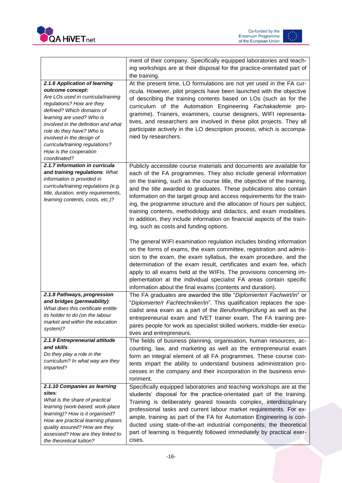



|                                                                                                                                                                                                                                                                                                                                                              | ment of their company. Specifically equipped laboratories and teach-<br>ing workshops are at their disposal for the practice-orientated part of<br>the training.                                                                                                                                                                                                                                                                                                                                                                                                                                                                             |
|--------------------------------------------------------------------------------------------------------------------------------------------------------------------------------------------------------------------------------------------------------------------------------------------------------------------------------------------------------------|----------------------------------------------------------------------------------------------------------------------------------------------------------------------------------------------------------------------------------------------------------------------------------------------------------------------------------------------------------------------------------------------------------------------------------------------------------------------------------------------------------------------------------------------------------------------------------------------------------------------------------------------|
| 2.1.6 Application of learning<br>outcome concept:<br>Are LOs used in curricula/training<br>regulations? How are they<br>defined? Which domains of<br>learning are used? Who is<br>involved in the definition and what<br>role do they have? Who is<br>involved in the design of<br>curricula/training regulations?<br>How is the cooperation<br>coordinated? | At the present time, LO formulations are not yet used in the FA cur-<br>ricula. However, pilot projects have been launched with the objective<br>of describing the training contents based on LOs (such as for the<br>curriculum of the Automation Engineering Fachakademie pro-<br>gramme). Trainers, examiners, course designers, WIFI representa-<br>tives, and researchers are involved in these pilot projects. They all<br>participate actively in the LO description process, which is accompa-<br>nied by researchers.                                                                                                               |
| 2.1.7 Information in curricula<br>and training regulations: What<br>information is provided in<br>curricula/training regulations (e.g.<br>title, duration, entry requirements,<br>learning contents, costs, etc.)?                                                                                                                                           | Publicly accessible course materials and documents are available for<br>each of the FA programmes. They also include general information<br>on the training, such as the course title, the objective of the training,<br>and the title awarded to graduates. These publications also contain<br>information on the target group and access requirements for the train-<br>ing, the programme structure and the allocation of hours per subject,<br>training contents, methodology and didactics, and exam modalities.<br>In addition, they include information on financial aspects of the train-<br>ing, such as costs and funding options. |
|                                                                                                                                                                                                                                                                                                                                                              | The general WIFI examination regulation includes binding information<br>on the forms of exams, the exam committee, registration and admis-<br>sion to the exam, the exam syllabus, the exam procedure, and the<br>determination of the exam result, certificates and exam fee, which<br>apply to all exams held at the WIFIs. The provisions concerning im-<br>plementation at the individual specialist FA areas contain specific<br>information about the final exams (contents and duration).                                                                                                                                             |
| 2.1.8 Pathways, progression<br>and bridges (permeability):<br>What does this certificate entitle<br>its holder to do (on the labour<br>market and within the education<br>system)?                                                                                                                                                                           | The FA graduates are awarded the title "Diplomierte/r Fachwirt/in" or<br>"Diplomierte/r Fachtechniker/in". This qualification replaces the spe-<br>cialist area exam as a part of the Berufsreifeprüfung as well as the<br>entrepreneurial exam and IVET trainer exam. The FA training pre-<br>pares people for work as specialist skilled workers, middle-tier execu-<br>tives and entrepreneurs.                                                                                                                                                                                                                                           |
| 2.1.9 Entrepreneurial attitude<br>and skills:<br>Do they play a role in the<br>curriculum? In what way are they<br>imparted?                                                                                                                                                                                                                                 | The fields of business planning, organisation, human resources, ac-<br>counting, law, and marketing as well as the entrepreneurial exam<br>form an integral element of all FA programmes. These course con-<br>tents impart the ability to understand business administration pro-<br>cesses in the company and their incorporation in the business envi-<br>ronment.                                                                                                                                                                                                                                                                        |
| 2.1.10 Companies as learning<br>sites:<br>What is the share of practical<br>learning (work-based, work-place<br>learning)? How is it organised?<br>How are practical learning phases<br>quality assured? How are they<br>assessed? How are they linked to<br>the theoretical tuition?                                                                        | Specifically equipped laboratories and teaching workshops are at the<br>students' disposal for the practice-orientated part of the training.<br>Training is deliberately geared towards complex, interdisciplinary<br>professional tasks and current labour market requirements. For ex-<br>ample, training as part of the FA for Automation Engineering is con-<br>ducted using state-of-the-art industrial components; the theoretical<br>part of learning is frequently followed immediately by practical exer-<br>cises.                                                                                                                 |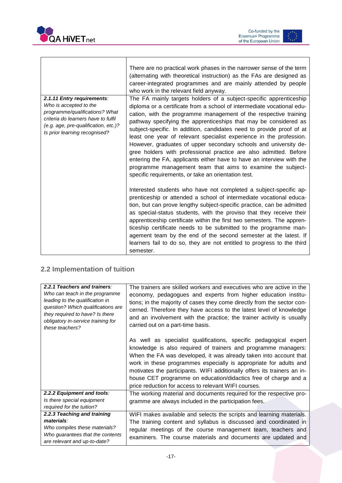

Τ

 $\Gamma$ 

Co-funded by the<br>Erasmus+ Programme<br>of the European Union



٦

|                                                                                                                                                                                                        | There are no practical work phases in the narrower sense of the term<br>(alternating with theoretical instruction) as the FAs are designed as<br>career-integrated programmes and are mainly attended by people<br>who work in the relevant field anyway.                                                                                                                                                                                                                                                                                                                                                                                                                                                                                                                    |
|--------------------------------------------------------------------------------------------------------------------------------------------------------------------------------------------------------|------------------------------------------------------------------------------------------------------------------------------------------------------------------------------------------------------------------------------------------------------------------------------------------------------------------------------------------------------------------------------------------------------------------------------------------------------------------------------------------------------------------------------------------------------------------------------------------------------------------------------------------------------------------------------------------------------------------------------------------------------------------------------|
| 2.1.11 Entry requirements:<br>Who is accepted to the<br>programme/gualifications? What<br>criteria do learners have to fulfil<br>(e.g. age, pre-qualification, etc.)?<br>Is prior learning recognised? | The FA mainly targets holders of a subject-specific apprenticeship<br>diploma or a certificate from a school of intermediate vocational edu-<br>cation, with the programme management of the respective training<br>pathway specifying the apprenticeships that may be considered as<br>subject-specific. In addition, candidates need to provide proof of at<br>least one year of relevant specialist experience in the profession.<br>However, graduates of upper secondary schools and university de-<br>gree holders with professional practice are also admitted. Before<br>entering the FA, applicants either have to have an interview with the<br>programme management team that aims to examine the subject-<br>specific requirements, or take an orientation test. |
|                                                                                                                                                                                                        | Interested students who have not completed a subject-specific ap-<br>prenticeship or attended a school of intermediate vocational educa-<br>tion, but can prove lengthy subject-specific practice, can be admitted<br>as special-status students, with the proviso that they receive their<br>apprenticeship certificate within the first two semesters. The appren-<br>ticeship certificate needs to be submitted to the programme man-<br>agement team by the end of the second semester at the latest. If<br>learners fail to do so, they are not entitled to progress to the third<br>semester.                                                                                                                                                                          |

### <span id="page-17-0"></span>**2.2 Implementation of tuition**

| 2.2.1 Teachers and trainers:<br>Who can teach in the programme<br>leading to the qualification in<br>question? Which qualifications are<br>they required to have? Is there<br>obligatory in-service training for | The trainers are skilled workers and executives who are active in the<br>economy, pedagogues and experts from higher education institu-<br>tions; in the majority of cases they come directly from the sector con-<br>cerned. Therefore they have access to the latest level of knowledge<br>and an involvement with the practice; the trainer activity is usually                                                                                                                                                        |
|------------------------------------------------------------------------------------------------------------------------------------------------------------------------------------------------------------------|---------------------------------------------------------------------------------------------------------------------------------------------------------------------------------------------------------------------------------------------------------------------------------------------------------------------------------------------------------------------------------------------------------------------------------------------------------------------------------------------------------------------------|
| these teachers?                                                                                                                                                                                                  | carried out on a part-time basis.<br>As well as specialist qualifications, specific pedagogical expert<br>knowledge is also required of trainers and programme managers:<br>When the FA was developed, it was already taken into account that<br>work in these programmes especially is appropriate for adults and<br>motivates the participants. WIFI additionally offers its trainers an in-<br>house CET programme on education/didactics free of charge and a<br>price reduction for access to relevant WIFI courses. |
| 2.2.2 Equipment and tools:<br>Is there special equipment<br>required for the tuition?                                                                                                                            | The working material and documents required for the respective pro-<br>gramme are always included in the participation fees.                                                                                                                                                                                                                                                                                                                                                                                              |
| 2.2.3 Teaching and training<br>materials:<br>Who compiles these materials?<br>Who guarantees that the contents<br>are relevant and up-to-date?                                                                   | WIFI makes available and selects the scripts and learning materials.<br>The training content and syllabus is discussed and coordinated in<br>regular meetings of the course management team, teachers and<br>examiners. The course materials and documents are updated and                                                                                                                                                                                                                                                |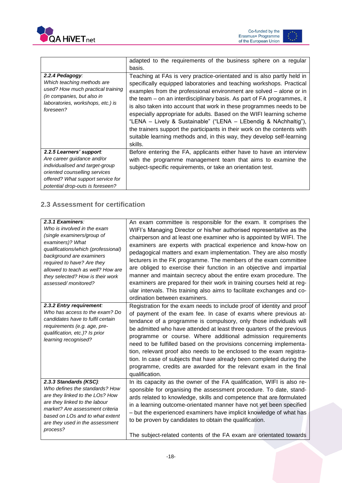

|                                                                                                                                                                    | adapted to the requirements of the business sphere on a regular<br>basis.                                                                                                                                                                                                                                                                                                                                                                                                                                                                                                                                                                                                           |
|--------------------------------------------------------------------------------------------------------------------------------------------------------------------|-------------------------------------------------------------------------------------------------------------------------------------------------------------------------------------------------------------------------------------------------------------------------------------------------------------------------------------------------------------------------------------------------------------------------------------------------------------------------------------------------------------------------------------------------------------------------------------------------------------------------------------------------------------------------------------|
| 2.2.4 Pedagogy:<br>Which teaching methods are<br>used? How much practical training<br>(in companies, but also in<br>laboratories, workshops, etc.) is<br>foreseen? | Teaching at FAs is very practice-orientated and is also partly held in<br>specifically equipped laboratories and teaching workshops. Practical<br>examples from the professional environment are solved – alone or in<br>the team – on an interdisciplinary basis. As part of FA programmes, it<br>is also taken into account that work in these programmes needs to be<br>especially appropriate for adults. Based on the WIFI learning scheme<br>"LENA - Lively & Sustainable" ("LENA - LEbendig & NAchhaltig"),<br>the trainers support the participants in their work on the contents with<br>suitable learning methods and, in this way, they develop self-learning<br>skills. |
| 2.2.5 Learners' support:<br>Are career guidance and/or<br>individualised and target-group<br>oriented counselling services<br>offered? What support service for    | Before entering the FA, applicants either have to have an interview<br>with the programme management team that aims to examine the<br>subject-specific requirements, or take an orientation test.                                                                                                                                                                                                                                                                                                                                                                                                                                                                                   |

#### <span id="page-18-0"></span>**2.3 Assessment for certification**

*potential drop-outs is foreseen?*

| 2.3.1 Examiners:<br>Who is involved in the exam<br>(single examiners/group of<br>examiners)? What<br>qualifications/which (professional)<br>background are examiners<br>required to have? Are they<br>allowed to teach as well? How are<br>they selected? How is their work<br>assessed/monitored? | An exam committee is responsible for the exam. It comprises the<br>WIFI's Managing Director or his/her authorised representative as the<br>chairperson and at least one examiner who is appointed by WIFI. The<br>examiners are experts with practical experience and know-how on<br>pedagogical matters and exam implementation. They are also mostly<br>lecturers in the FK programme. The members of the exam committee<br>are obliged to exercise their function in an objective and impartial<br>manner and maintain secrecy about the entire exam procedure. The<br>examiners are prepared for their work in training courses held at reg-<br>ular intervals. This training also aims to facilitate exchanges and co-<br>ordination between examiners. |
|----------------------------------------------------------------------------------------------------------------------------------------------------------------------------------------------------------------------------------------------------------------------------------------------------|--------------------------------------------------------------------------------------------------------------------------------------------------------------------------------------------------------------------------------------------------------------------------------------------------------------------------------------------------------------------------------------------------------------------------------------------------------------------------------------------------------------------------------------------------------------------------------------------------------------------------------------------------------------------------------------------------------------------------------------------------------------|
| 2.3.2 Entry requirement:<br>Who has access to the exam? Do<br>candidates have to fulfil certain<br>requirements (e.g. age, pre-<br>qualification, etc.)? Is prior<br>learning recognised?                                                                                                          | Registration for the exam needs to include proof of identity and proof<br>of payment of the exam fee. In case of exams where previous at-<br>tendance of a programme is compulsory, only those individuals will<br>be admitted who have attended at least three quarters of the previous<br>programme or course. Where additional admission requirements<br>need to be fulfilled based on the provisions concerning implementa-<br>tion, relevant proof also needs to be enclosed to the exam registra-<br>tion. In case of subjects that have already been completed during the<br>programme, credits are awarded for the relevant exam in the final<br>qualification.                                                                                      |
| 2.3.3 Standards (KSC):<br>Who defines the standards? How<br>are they linked to the LOs? How<br>are they linked to the labour<br>market? Are assessment criteria<br>based on LOs and to what extent<br>are they used in the assessment<br>process?                                                  | In its capacity as the owner of the FA qualification, WIFI is also re-<br>sponsible for organising the assessment procedure. To date, stand-<br>ards related to knowledge, skills and competence that are formulated<br>in a learning outcome-orientated manner have not yet been specified<br>- but the experienced examiners have implicit knowledge of what has<br>to be proven by candidates to obtain the qualification.<br>The subject-related contents of the FA exam are orientated towards                                                                                                                                                                                                                                                          |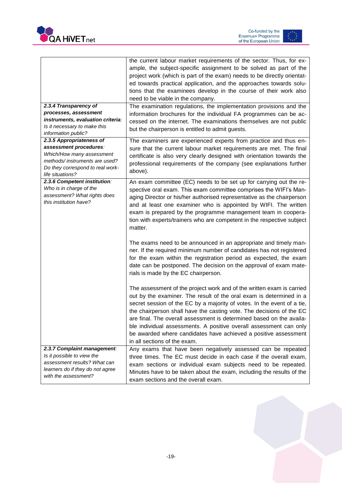



|                                                            | the current labour market requirements of the sector. Thus, for ex-<br>ample, the subject-specific assignment to be solved as part of the<br>project work (which is part of the exam) needs to be directly orientat-<br>ed towards practical application, and the approaches towards solu-<br>tions that the examinees develop in the course of their work also                                                                                                                                                                                  |
|------------------------------------------------------------|--------------------------------------------------------------------------------------------------------------------------------------------------------------------------------------------------------------------------------------------------------------------------------------------------------------------------------------------------------------------------------------------------------------------------------------------------------------------------------------------------------------------------------------------------|
|                                                            | need to be viable in the company.                                                                                                                                                                                                                                                                                                                                                                                                                                                                                                                |
| 2.3.4 Transparency of                                      | The examination regulations, the implementation provisions and the                                                                                                                                                                                                                                                                                                                                                                                                                                                                               |
| processes, assessment<br>instruments, evaluation criteria: | information brochures for the individual FA programmes can be ac-                                                                                                                                                                                                                                                                                                                                                                                                                                                                                |
| Is it necessary to make this                               | cessed on the internet. The examinations themselves are not public                                                                                                                                                                                                                                                                                                                                                                                                                                                                               |
| information public?                                        | but the chairperson is entitled to admit guests.                                                                                                                                                                                                                                                                                                                                                                                                                                                                                                 |
| 2.3.5 Appropriateness of                                   | The examiners are experienced experts from practice and thus en-                                                                                                                                                                                                                                                                                                                                                                                                                                                                                 |
| assessment procedures:                                     | sure that the current labour market requirements are met. The final                                                                                                                                                                                                                                                                                                                                                                                                                                                                              |
| Which/How many assessment                                  | certificate is also very clearly designed with orientation towards the                                                                                                                                                                                                                                                                                                                                                                                                                                                                           |
| methods/instruments are used?                              | professional requirements of the company (see explanations further                                                                                                                                                                                                                                                                                                                                                                                                                                                                               |
| Do they correspond to real work-                           | above).                                                                                                                                                                                                                                                                                                                                                                                                                                                                                                                                          |
| life situations?                                           |                                                                                                                                                                                                                                                                                                                                                                                                                                                                                                                                                  |
| 2.3.6 Competent institution:<br>Who is in charge of the    | An exam committee (EC) needs to be set up for carrying out the re-<br>spective oral exam. This exam committee comprises the WIFI's Man-                                                                                                                                                                                                                                                                                                                                                                                                          |
| assessment? What rights does<br>this institution have?     | aging Director or his/her authorised representative as the chairperson<br>and at least one examiner who is appointed by WIFI. The written<br>exam is prepared by the programme management team in coopera-<br>tion with experts/trainers who are competent in the respective subject<br>matter.                                                                                                                                                                                                                                                  |
|                                                            | The exams need to be announced in an appropriate and timely man-<br>ner. If the required minimum number of candidates has not registered<br>for the exam within the registration period as expected, the exam<br>date can be postponed. The decision on the approval of exam mate-<br>rials is made by the EC chairperson.                                                                                                                                                                                                                       |
|                                                            | The assessment of the project work and of the written exam is carried<br>out by the examiner. The result of the oral exam is determined in a<br>secret session of the EC by a majority of votes. In the event of a tie,<br>the chairperson shall have the casting vote. The decisions of the EC<br>are final. The overall assessment is determined based on the availa-<br>ble individual assessments. A positive overall assessment can only<br>be awarded where candidates have achieved a positive assessment<br>in all sections of the exam. |
| 2.3.7 Complaint management:                                | Any exams that have been negatively assessed can be repeated                                                                                                                                                                                                                                                                                                                                                                                                                                                                                     |
| Is it possible to view the                                 | three times. The EC must decide in each case if the overall exam,                                                                                                                                                                                                                                                                                                                                                                                                                                                                                |
| assessment results? What can                               | exam sections or individual exam subjects need to be repeated.                                                                                                                                                                                                                                                                                                                                                                                                                                                                                   |
| learners do if they do not agree<br>with the assessment?   | Minutes have to be taken about the exam, including the results of the<br>exam sections and the overall exam.                                                                                                                                                                                                                                                                                                                                                                                                                                     |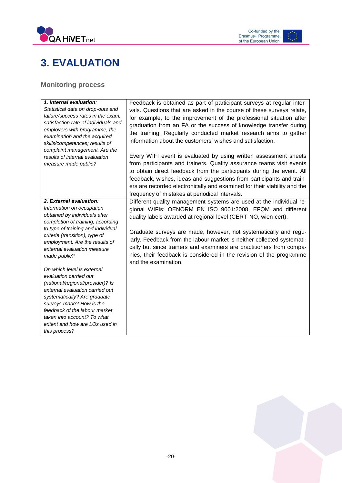

### <span id="page-20-0"></span>**3. EVALUATION**

#### <span id="page-20-1"></span>**Monitoring process**

| 1. Internal evaluation:<br>Statistical data on drop-outs and<br>failure/success rates in the exam,<br>satisfaction rate of individuals and<br>employers with programme, the<br>examination and the acquired<br>skills/competences; results of<br>complaint management. Are the<br>results of internal evaluation<br>measure made public?                                                                                                                                       | Feedback is obtained as part of participant surveys at regular inter-<br>vals. Questions that are asked in the course of these surveys relate,<br>for example, to the improvement of the professional situation after<br>graduation from an FA or the success of knowledge transfer during<br>the training. Regularly conducted market research aims to gather<br>information about the customers' wishes and satisfaction.<br>Every WIFI event is evaluated by using written assessment sheets<br>from participants and trainers. Quality assurance teams visit events<br>to obtain direct feedback from the participants during the event. All |
|--------------------------------------------------------------------------------------------------------------------------------------------------------------------------------------------------------------------------------------------------------------------------------------------------------------------------------------------------------------------------------------------------------------------------------------------------------------------------------|--------------------------------------------------------------------------------------------------------------------------------------------------------------------------------------------------------------------------------------------------------------------------------------------------------------------------------------------------------------------------------------------------------------------------------------------------------------------------------------------------------------------------------------------------------------------------------------------------------------------------------------------------|
|                                                                                                                                                                                                                                                                                                                                                                                                                                                                                | feedback, wishes, ideas and suggestions from participants and train-<br>ers are recorded electronically and examined for their viability and the<br>frequency of mistakes at periodical intervals.                                                                                                                                                                                                                                                                                                                                                                                                                                               |
| 2. External evaluation:<br>Information on occupation<br>obtained by individuals after<br>completion of training, according<br>to type of training and individual<br>criteria (transition), type of<br>employment. Are the results of<br>external evaluation measure<br>made public?<br>On which level is external<br>evaluation carried out<br>(national/regional/provider)? Is<br>external evaluation carried out<br>systematically? Are graduate<br>surveys made? How is the | Different quality management systems are used at the individual re-<br>gional WIFIs: OENORM EN ISO 9001:2008, EFQM and different<br>quality labels awarded at regional level (CERT-NÖ, wien-cert).<br>Graduate surveys are made, however, not systematically and regu-<br>larly. Feedback from the labour market is neither collected systemati-<br>cally but since trainers and examiners are practitioners from compa-<br>nies, their feedback is considered in the revision of the programme<br>and the examination.                                                                                                                          |
| feedback of the labour market<br>taken into account? To what<br>extent and how are LOs used in<br>this process?                                                                                                                                                                                                                                                                                                                                                                |                                                                                                                                                                                                                                                                                                                                                                                                                                                                                                                                                                                                                                                  |